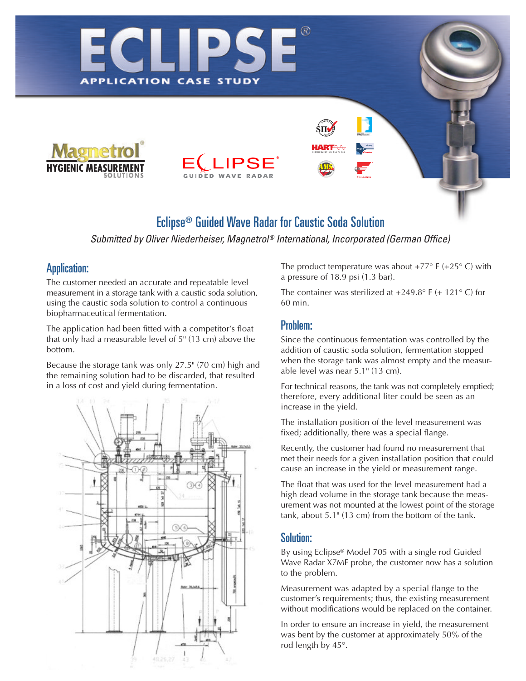



# Eclipse® Guided Wave Radar for Caustic Soda Solution

*Submitted by Oliver Niederheiser, Magnetrol ® International, Incorporated (German Office)*

#### Application:

The customer needed an accurate and repeatable level measurement in a storage tank with a caustic soda solution, using the caustic soda solution to control a continuous biopharmaceutical fermentation.

**APPLICATION CASE** 

The application had been fitted with a competitor's float that only had a measurable level of 5" (13 cm) above the bottom.

Because the storage tank was only 27.5" (70 cm) high and the remaining solution had to be discarded, that resulted in a loss of cost and yield during fermentation.



The product temperature was about  $+77^{\circ}$  F ( $+25^{\circ}$  C) with a pressure of 18.9 psi (1.3 bar).

The container was sterilized at  $+249.8^{\circ}$  F (+ 121° C) for 60 min.

## Problem:

Since the continuous fermentation was controlled by the addition of caustic soda solution, fermentation stopped when the storage tank was almost empty and the measurable level was near 5.1" (13 cm).

For technical reasons, the tank was not completely emptied; therefore, every additional liter could be seen as an increase in the yield.

The installation position of the level measurement was fixed; additionally, there was a special flange.

Recently, the customer had found no measurement that met their needs for a given installation position that could cause an increase in the yield or measurement range.

The float that was used for the level measurement had a high dead volume in the storage tank because the measurement was not mounted at the lowest point of the storage tank, about 5.1" (13 cm) from the bottom of the tank.

### Solution:

By using Eclipse® Model 705 with a single rod Guided Wave Radar X7MF probe, the customer now has a solution to the problem.

Measurement was adapted by a special flange to the customer's requirements; thus, the existing measurement without modifications would be replaced on the container.

In order to ensure an increase in yield, the measurement was bent by the customer at approximately 50% of the rod length by 45°.